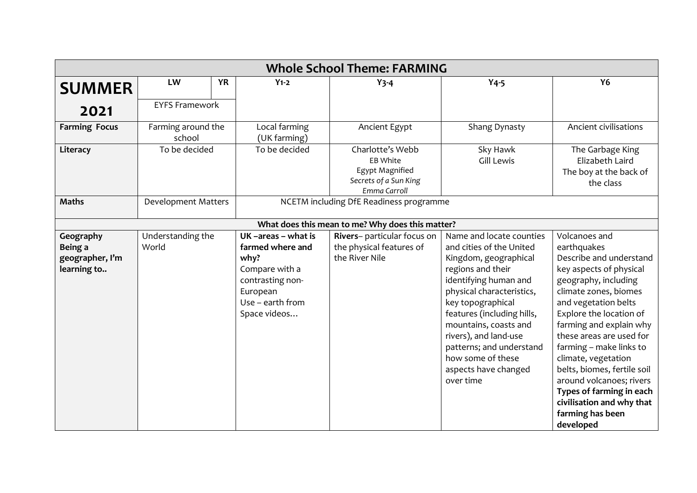| <b>Whole School Theme: FARMING</b>                     |                              |           |                                                                                                                                      |                                                                                          |                                                                                                                                                                                                                                                                                                                                                     |                                                                                                                                                                                                                                                                                                                                                                                                                                                      |  |
|--------------------------------------------------------|------------------------------|-----------|--------------------------------------------------------------------------------------------------------------------------------------|------------------------------------------------------------------------------------------|-----------------------------------------------------------------------------------------------------------------------------------------------------------------------------------------------------------------------------------------------------------------------------------------------------------------------------------------------------|------------------------------------------------------------------------------------------------------------------------------------------------------------------------------------------------------------------------------------------------------------------------------------------------------------------------------------------------------------------------------------------------------------------------------------------------------|--|
| <b>SUMMER</b>                                          | LW                           | <b>YR</b> | $Y_1 - 2$                                                                                                                            | $Y$ 3-4                                                                                  | $Y4-5$                                                                                                                                                                                                                                                                                                                                              | <b>Y6</b>                                                                                                                                                                                                                                                                                                                                                                                                                                            |  |
| 2021                                                   | <b>EYFS Framework</b>        |           |                                                                                                                                      |                                                                                          |                                                                                                                                                                                                                                                                                                                                                     |                                                                                                                                                                                                                                                                                                                                                                                                                                                      |  |
| <b>Farming Focus</b>                                   | Farming around the<br>school |           | Local farming<br>(UK farming)                                                                                                        | Ancient Egypt                                                                            | Shang Dynasty                                                                                                                                                                                                                                                                                                                                       | Ancient civilisations                                                                                                                                                                                                                                                                                                                                                                                                                                |  |
| Literacy                                               | To be decided                |           | To be decided                                                                                                                        | Charlotte's Webb<br>EB White<br>Egypt Magnified<br>Secrets of a Sun King<br>Emma Carroll | Sky Hawk<br><b>Gill Lewis</b>                                                                                                                                                                                                                                                                                                                       | The Garbage King<br>Elizabeth Laird<br>The boy at the back of<br>the class                                                                                                                                                                                                                                                                                                                                                                           |  |
| <b>Maths</b>                                           | <b>Development Matters</b>   |           | NCETM including DfE Readiness programme                                                                                              |                                                                                          |                                                                                                                                                                                                                                                                                                                                                     |                                                                                                                                                                                                                                                                                                                                                                                                                                                      |  |
|                                                        |                              |           |                                                                                                                                      | What does this mean to me? Why does this matter?                                         |                                                                                                                                                                                                                                                                                                                                                     |                                                                                                                                                                                                                                                                                                                                                                                                                                                      |  |
| Geography<br>Being a<br>geographer, I'm<br>learning to | Understanding the<br>World   |           | UK-areas - what is<br>farmed where and<br>why?<br>Compare with a<br>contrasting non-<br>European<br>Use - earth from<br>Space videos | Rivers- particular focus on<br>the physical features of<br>the River Nile                | Name and locate counties<br>and cities of the United<br>Kingdom, geographical<br>regions and their<br>identifying human and<br>physical characteristics,<br>key topographical<br>features (including hills,<br>mountains, coasts and<br>rivers), and land-use<br>patterns; and understand<br>how some of these<br>aspects have changed<br>over time | Volcanoes and<br>earthquakes<br>Describe and understand<br>key aspects of physical<br>geography, including<br>climate zones, biomes<br>and vegetation belts<br>Explore the location of<br>farming and explain why<br>these areas are used for<br>farming - make links to<br>climate, vegetation<br>belts, biomes, fertile soil<br>around volcanoes; rivers<br>Types of farming in each<br>civilisation and why that<br>farming has been<br>developed |  |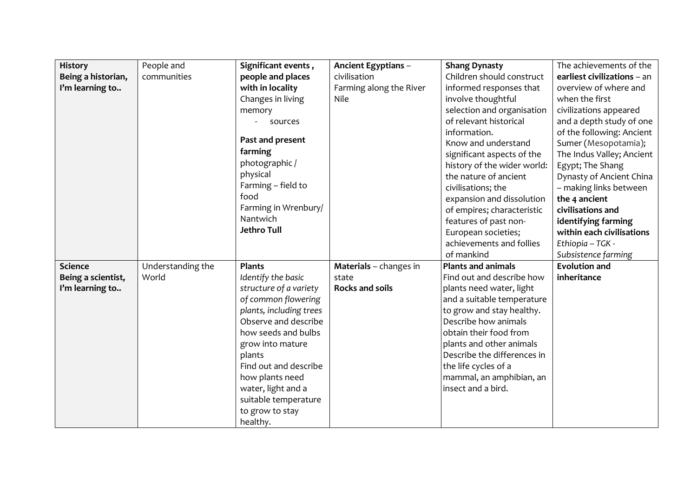| <b>History</b>     | People and        | Significant events,     | Ancient Egyptians -     | <b>Shang Dynasty</b>        | The achievements of the     |
|--------------------|-------------------|-------------------------|-------------------------|-----------------------------|-----------------------------|
| Being a historian, | communities       | people and places       | civilisation            | Children should construct   | earliest civilizations - an |
| I'm learning to    |                   | with in locality        | Farming along the River | informed responses that     | overview of where and       |
|                    |                   | Changes in living       | Nile                    | involve thoughtful          | when the first              |
|                    |                   | memory                  |                         | selection and organisation  | civilizations appeared      |
|                    |                   | sources                 |                         | of relevant historical      | and a depth study of one    |
|                    |                   |                         |                         | information.                | of the following: Ancient   |
|                    |                   | Past and present        |                         | Know and understand         | Sumer (Mesopotamia);        |
|                    |                   | farming                 |                         | significant aspects of the  | The Indus Valley; Ancient   |
|                    |                   | photographic/           |                         | history of the wider world: | Egypt; The Shang            |
|                    |                   | physical                |                         | the nature of ancient       | Dynasty of Ancient China    |
|                    |                   | Farming - field to      |                         | civilisations; the          | - making links between      |
|                    |                   | food                    |                         | expansion and dissolution   | the 4 ancient               |
|                    |                   | Farming in Wrenbury/    |                         | of empires; characteristic  | civilisations and           |
|                    |                   | Nantwich                |                         | features of past non-       | identifying farming         |
|                    |                   | <b>Jethro Tull</b>      |                         | European societies;         | within each civilisations   |
|                    |                   |                         |                         | achievements and follies    | Ethiopia - TGK -            |
|                    |                   |                         |                         | of mankind                  | Subsistence farming         |
| <b>Science</b>     | Understanding the | <b>Plants</b>           | Materials - changes in  | <b>Plants and animals</b>   | <b>Evolution and</b>        |
| Being a scientist, | World             | Identify the basic      | state                   | Find out and describe how   | inheritance                 |
| I'm learning to    |                   | structure of a variety  | <b>Rocks and soils</b>  | plants need water, light    |                             |
|                    |                   | of common flowering     |                         | and a suitable temperature  |                             |
|                    |                   | plants, including trees |                         | to grow and stay healthy.   |                             |
|                    |                   | Observe and describe    |                         | Describe how animals        |                             |
|                    |                   | how seeds and bulbs     |                         | obtain their food from      |                             |
|                    |                   | grow into mature        |                         | plants and other animals    |                             |
|                    |                   | plants                  |                         | Describe the differences in |                             |
|                    |                   | Find out and describe   |                         | the life cycles of a        |                             |
|                    |                   | how plants need         |                         | mammal, an amphibian, an    |                             |
|                    |                   | water, light and a      |                         | insect and a bird.          |                             |
|                    |                   | suitable temperature    |                         |                             |                             |
|                    |                   | to grow to stay         |                         |                             |                             |
|                    |                   | healthy.                |                         |                             |                             |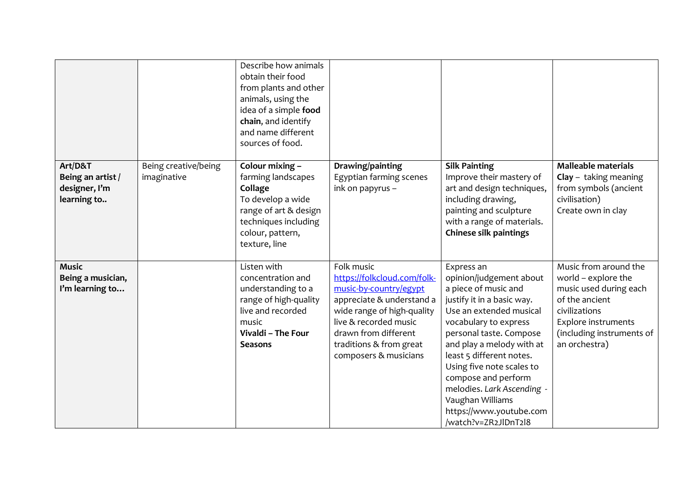|                                                              |                                     | Describe how animals<br>obtain their food<br>from plants and other<br>animals, using the<br>idea of a simple food<br>chain, and identify<br>and name different<br>sources of food. |                                                                                                                                                                                                                                     |                                                                                                                                                                                                                                                                                                                                                                                              |                                                                                                                                                                                       |
|--------------------------------------------------------------|-------------------------------------|------------------------------------------------------------------------------------------------------------------------------------------------------------------------------------|-------------------------------------------------------------------------------------------------------------------------------------------------------------------------------------------------------------------------------------|----------------------------------------------------------------------------------------------------------------------------------------------------------------------------------------------------------------------------------------------------------------------------------------------------------------------------------------------------------------------------------------------|---------------------------------------------------------------------------------------------------------------------------------------------------------------------------------------|
| Art/D&T<br>Being an artist /<br>designer, I'm<br>learning to | Being creative/being<br>imaginative | Colour mixing -<br>farming landscapes<br>Collage<br>To develop a wide<br>range of art & design<br>techniques including<br>colour, pattern,<br>texture, line                        | Drawing/painting<br>Egyptian farming scenes<br>ink on papyrus -                                                                                                                                                                     | <b>Silk Painting</b><br>Improve their mastery of<br>art and design techniques,<br>including drawing,<br>painting and sculpture<br>with a range of materials.<br><b>Chinese silk paintings</b>                                                                                                                                                                                                | <b>Malleable materials</b><br>$Clay - taking meaning$<br>from symbols (ancient<br>civilisation)<br>Create own in clay                                                                 |
| <b>Music</b><br>Being a musician,<br>I'm learning to         |                                     | Listen with<br>concentration and<br>understanding to a<br>range of high-quality<br>live and recorded<br>music<br>Vivaldi - The Four<br><b>Seasons</b>                              | Folk music<br>https://folkcloud.com/folk-<br>music-by-country/egypt<br>appreciate & understand a<br>wide range of high-quality<br>live & recorded music<br>drawn from different<br>traditions & from great<br>composers & musicians | Express an<br>opinion/judgement about<br>a piece of music and<br>justify it in a basic way.<br>Use an extended musical<br>vocabulary to express<br>personal taste. Compose<br>and play a melody with at<br>least 5 different notes.<br>Using five note scales to<br>compose and perform<br>melodies. Lark Ascending -<br>Vaughan Williams<br>https://www.youtube.com<br>/watch?v=ZR2JlDnT2l8 | Music from around the<br>world - explore the<br>music used during each<br>of the ancient<br>civilizations<br><b>Explore instruments</b><br>(including instruments of<br>an orchestra) |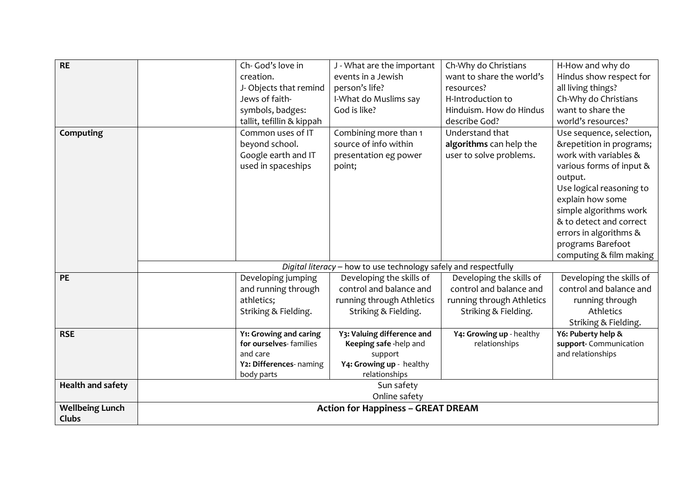| <b>RE</b>                              | Ch- God's love in<br>creation.<br>J-Objects that remind<br>Jews of faith-<br>symbols, badges:<br>tallit, tefillin & kippah | J - What are the important<br>events in a Jewish<br>person's life?<br>I-What do Muslims say<br>God is like?  | Ch-Why do Christians<br>want to share the world's<br>resources?<br>H-Introduction to<br>Hinduism. How do Hindus<br>describe God? | H-How and why do<br>Hindus show respect for<br>all living things?<br>Ch-Why do Christians<br>want to share the<br>world's resources?                                                                                                                                                                |  |  |
|----------------------------------------|----------------------------------------------------------------------------------------------------------------------------|--------------------------------------------------------------------------------------------------------------|----------------------------------------------------------------------------------------------------------------------------------|-----------------------------------------------------------------------------------------------------------------------------------------------------------------------------------------------------------------------------------------------------------------------------------------------------|--|--|
| Computing                              | Common uses of IT<br>beyond school.<br>Google earth and IT<br>used in spaceships                                           | Combining more than 1<br>source of info within<br>presentation eg power<br>point;                            | Understand that<br>algorithms can help the<br>user to solve problems.                                                            | Use sequence, selection,<br>&repetition in programs;<br>work with variables &<br>various forms of input &<br>output.<br>Use logical reasoning to<br>explain how some<br>simple algorithms work<br>& to detect and correct<br>errors in algorithms &<br>programs Barefoot<br>computing & film making |  |  |
|                                        | Digital literacy - how to use technology safely and respectfully                                                           |                                                                                                              |                                                                                                                                  |                                                                                                                                                                                                                                                                                                     |  |  |
| <b>PE</b>                              | Developing jumping<br>and running through<br>athletics;<br>Striking & Fielding.                                            | Developing the skills of<br>control and balance and<br>running through Athletics<br>Striking & Fielding.     | Developing the skills of<br>control and balance and<br>running through Athletics<br>Striking & Fielding.                         | Developing the skills of<br>control and balance and<br>running through<br>Athletics<br>Striking & Fielding.                                                                                                                                                                                         |  |  |
| <b>RSE</b>                             | Y1: Growing and caring<br>for ourselves-families<br>and care<br>Y2: Differences- naming<br>body parts                      | Y3: Valuing difference and<br>Keeping safe -help and<br>support<br>Y4: Growing up - healthy<br>relationships | Y4: Growing up - healthy<br>relationships                                                                                        | Y6: Puberty help &<br>support- Communication<br>and relationships                                                                                                                                                                                                                                   |  |  |
| <b>Health and safety</b>               |                                                                                                                            | Sun safety<br>Online safety                                                                                  |                                                                                                                                  |                                                                                                                                                                                                                                                                                                     |  |  |
| <b>Wellbeing Lunch</b><br><b>Clubs</b> | <b>Action for Happiness - GREAT DREAM</b>                                                                                  |                                                                                                              |                                                                                                                                  |                                                                                                                                                                                                                                                                                                     |  |  |